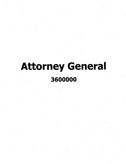# **Attorney General 3600000**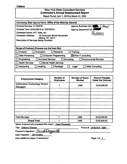## **New York State Consultant Services Contractor's Annual Employment Report**

**Report Period: April 1,2019 to March 31. 2020**

| Contracting State Agency Name: Office of the Attorney General                                |                                                          |
|----------------------------------------------------------------------------------------------|----------------------------------------------------------|
| Contract Number: C-103378                                                                    | <b>Agency Business Unit:</b><br><b>The Second Second</b> |
| Contract Term: 01/01/2015 to 12/31/2019                                                      | Agency Department ID: 000                                |
| <b>Contractor Name: NTT Data, Inc.</b>                                                       | $36$ AA $d$ c)                                           |
| <b>Contractor Address:</b><br><b>18 Corporate Woods Boulevard</b><br><b>Albany, NY 12211</b> |                                                          |
| <b>Description of Services Being Provided:</b>                                               |                                                          |
|                                                                                              |                                                          |
| Scope of Contract (Choose one that best fits):                                               |                                                          |
| Analysis<br><b>Research</b><br>Evaluation                                                    | Training                                                 |
| Data Processing<br><b>Computer Programming</b>                                               | $\boxtimes$ Other IT consulting                          |
| Engineering<br><b>Architect Services</b><br>Surveying                                        | <b>Environmental Services</b>                            |
| <b>Health Services</b><br><b>Mental Health Services</b>                                      |                                                          |
| Accounting<br><b>Auditing</b><br>Paralegal                                                   | <b>Other Consulting</b><br>Legal                         |
|                                                                                              |                                                          |

| <b>Employment Category</b>                        | <b>Number of</b><br><b>Employees</b> | <b>Number of Hours</b><br><b>Worked</b> | <b>Amount Payable</b><br><b>Under the Contract</b> |
|---------------------------------------------------|--------------------------------------|-----------------------------------------|----------------------------------------------------|
| <b>Information Technology Project</b><br>Managers |                                      | 1368                                    | \$143,640.00                                       |
|                                                   | ٠                                    |                                         |                                                    |
|                                                   |                                      |                                         |                                                    |
|                                                   |                                      |                                         | $\bullet$                                          |
|                                                   |                                      |                                         |                                                    |
|                                                   | ٠                                    |                                         |                                                    |
|                                                   |                                      |                                         |                                                    |
|                                                   |                                      |                                         |                                                    |
|                                                   |                                      |                                         |                                                    |
| Total this page                                   |                                      | 1368                                    | \$143,640.00                                       |
| <b>Grand Total</b>                                |                                      | 1368                                    | \$143,640.00                                       |

**Name of person who prepared this report: Carol Fitzgerald**

**Title: Delivery Director**\_\_\_\_\_\_\_\_\_\_\_\_\_\_\_\_\_\_\_\_\_\_\_\_\_\_

**Phone #: (518) 815 - 2057** 

**Preparer's Signature:** *Cf\ 0£)*\_\_\_\_\_\_\_\_

**Date Prepared: 05/15/2020**\_\_\_\_\_\_\_

**(Use additional pages, if necessary)**

**Page <sup>1</sup> of\_l**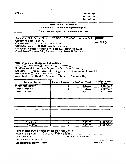|                                                                                                                                                                                                                                                                                                                       |                                                                                                     | Category Code:                                                                          |                                      |
|-----------------------------------------------------------------------------------------------------------------------------------------------------------------------------------------------------------------------------------------------------------------------------------------------------------------------|-----------------------------------------------------------------------------------------------------|-----------------------------------------------------------------------------------------|--------------------------------------|
|                                                                                                                                                                                                                                                                                                                       | <b>State Consultant Services</b><br><b>Contractor's Annual Employment Report</b>                    |                                                                                         |                                      |
|                                                                                                                                                                                                                                                                                                                       | Report Period: April 1, 2019 to March 31, 2020                                                      |                                                                                         |                                      |
| Contracting State Agency Name: NYS OGS HBITS / OAG<br>Contract Number: PH65772<br>Contract Term: 11/01/2012 to 06/30/2019<br>Contractor Name: GENESYS Consulting Services, Inc.<br>Contractor Address: 1 Marcus Blvd, Suite 102, Albany, NY 12205<br>Description of Services Being Provided: Hourly Based IT Services |                                                                                                     | <b>Agency Code:</b>                                                                     | 3600000                              |
| Scope of Contract (Choose one that best fits):<br>Evaluation $\Box$<br>Analysis $\Box$<br>Data Processing $\square$<br>Computer Programming $box$<br>Engineering $\square$<br>Architect Services □<br>Health Services $\Box$<br>Mental Health Services $\Box$<br>Accounting $\square$<br>Auditing $\square$           | Research $\Box$<br>Training $\square$<br>Surveying $\Box$<br>Paralegal $\square$<br>Legal $\square$ | Other IT consulting $\square$<br>Environmental Services [<br>Other Consulting $\square$ |                                      |
| <b>Employment Category</b>                                                                                                                                                                                                                                                                                            | <b>Number of Employees</b>                                                                          | Number of Hours Worked                                                                  | Amount Payable Under<br>the Contract |
| <b>System Administrator</b>                                                                                                                                                                                                                                                                                           | 1                                                                                                   | 1,095.00                                                                                | \$83,395.20                          |
| <b>Technical Architect</b>                                                                                                                                                                                                                                                                                            | 1                                                                                                   | 519.00                                                                                  | \$44,976.54                          |
| <b>Technical Writer</b>                                                                                                                                                                                                                                                                                               | $\overline{2}$                                                                                      | 1,467.00                                                                                | \$66,367.08                          |
|                                                                                                                                                                                                                                                                                                                       |                                                                                                     |                                                                                         |                                      |
|                                                                                                                                                                                                                                                                                                                       |                                                                                                     |                                                                                         |                                      |
| $\mathbf{v}$                                                                                                                                                                                                                                                                                                          |                                                                                                     |                                                                                         |                                      |

**FORM B** OSC Use Only:

Reporting Code:

| Total this page                                                                  |                | 3,081.00              | \$194,738.82 |
|----------------------------------------------------------------------------------|----------------|-----------------------|--------------|
| <b>Grand Total</b>                                                               |                | 3,081.00              | \$194,738.82 |
| Name of person who prepared this report: Crista Maiello<br>Preparer's Signature: | Crista Marello |                       |              |
| Title: Controller                                                                |                | Phone #: 518-459-9500 |              |
| Date Prepared: 5/10/2020                                                         |                |                       |              |

Use additional pages if necessary) and the contract of the Page 1 of 1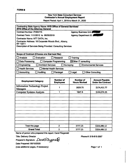| <b>FORM B</b>                                                                                        |                                                                                                |                                         |                                                    |
|------------------------------------------------------------------------------------------------------|------------------------------------------------------------------------------------------------|-----------------------------------------|----------------------------------------------------|
|                                                                                                      | <b>New York State Consultant Services</b>                                                      |                                         |                                                    |
|                                                                                                      | <b>Contractor's Annual Employment Report</b><br>Report Period: April 1, 2019 to March 31, 2020 |                                         |                                                    |
|                                                                                                      |                                                                                                |                                         |                                                    |
| Contracting State Agency Name: NYS Office of General Services/<br>NYS Office of the Attorney General |                                                                                                |                                         |                                                    |
| <b>Contract Number: PH65775</b>                                                                      |                                                                                                | <b>Agency Business Unit:</b>            |                                                    |
| Contract Term: 11/1/2012 to 06/30/2019                                                               |                                                                                                | <b>Agency Department ID: Also</b>       |                                                    |
| Contractor Name: NTT DATA, Inc.                                                                      |                                                                                                |                                         |                                                    |
| Contractor Address: 18 Corporate Woods Blvd., Albany,<br>NY 12211                                    |                                                                                                |                                         |                                                    |
| Description of Services Being Provided: Consulting Services                                          |                                                                                                |                                         |                                                    |
|                                                                                                      |                                                                                                |                                         |                                                    |
| Scope of Contract (Choose one that best fits):                                                       |                                                                                                |                                         |                                                    |
| Evaluation<br><b>Analysis</b>                                                                        | <b>Research</b>                                                                                | Training                                |                                                    |
| <b>Data Processing</b>                                                                               | <b>Computer Programming</b>                                                                    | ⊠Other IT consulting                    |                                                    |
| <b>Architect Services</b><br>Engineering                                                             |                                                                                                | Surveying                               | <b>Environmental Services</b>                      |
| <b>Health Services</b>                                                                               | <b>Mental Health Services</b>                                                                  |                                         |                                                    |
| <b>Accounting</b><br><b>Auditing</b>                                                                 | Paralegal                                                                                      | Legal                                   | <b>Other Consulting</b>                            |
|                                                                                                      |                                                                                                |                                         |                                                    |
| <b>Employment Category</b>                                                                           | <b>Number of</b><br><b>Employees</b>                                                           | <b>Number of</b><br><b>Hours Worked</b> | <b>Amount Payable</b><br><b>Under the Contract</b> |
| <b>Information Technology Project</b><br><b>Managers</b>                                             | 1                                                                                              | 1829.75                                 | \$174,411.77                                       |
| <b>Computer Systems Analysts</b>                                                                     | 1                                                                                              | 1947.5                                  | \$150,074.35                                       |
|                                                                                                      |                                                                                                |                                         |                                                    |
|                                                                                                      |                                                                                                |                                         |                                                    |
|                                                                                                      |                                                                                                |                                         |                                                    |
|                                                                                                      |                                                                                                |                                         |                                                    |
|                                                                                                      |                                                                                                |                                         |                                                    |
|                                                                                                      |                                                                                                |                                         |                                                    |
|                                                                                                      |                                                                                                |                                         |                                                    |
|                                                                                                      |                                                                                                |                                         |                                                    |
| Total this page                                                                                      | $\mathbf{2}$                                                                                   | 3777.25                                 | \$324,486.12                                       |
| <b>Grand Total</b>                                                                                   | $\mathbf{2}$                                                                                   | 3777.25                                 | \$324,486.12                                       |

Name of person who prepared this report: Carol Fitzgerald

Title: Delivery Director

Preparer's Signature: Canol Fitzgorall

Date Prepared: 05/15/2020

(Use additional pages, if necessary)

Phone#: 518-815-2057

Page <sup>1</sup> of <sup>1</sup>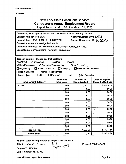| <b>New York State Consultant Services</b>    |  |
|----------------------------------------------|--|
| <b>Contractor's Annual Employment Report</b> |  |

**Report Period: April 1, 2019 to March 31, 2020**

| Contracting State Agency Name: Nw York State Office of Attorney General<br><b>Contract Number: PH65776</b><br>Contract Term: 11/01/2012 to 06/30/2019<br><b>Contractor Name: Knowledge Builders Inc</b><br>Contractor Address: 1977 Western Avenue, Ste #1, Albany, NY 12202<br>Description of Services Being Provided: Programmer |                                                           | Agency Business Unit: CAWU<br>Agency Department ID: 3600000                                        |                                                    |
|------------------------------------------------------------------------------------------------------------------------------------------------------------------------------------------------------------------------------------------------------------------------------------------------------------------------------------|-----------------------------------------------------------|----------------------------------------------------------------------------------------------------|----------------------------------------------------|
| Scope of Contract (Choose one that best fits):<br>$\boxtimes$ Evaluation<br>$\boxtimes$ Analysis<br>$\boxtimes$ Data Processing<br>$\boxtimes$ Computer Programming<br><b>Architect Services</b><br>$\square$ Engineering<br><b>Health Services</b><br>Mental Health Services<br>Accounting<br><b>Auditing</b>                     | Research<br>$\Box$ Surveying<br>Paralegal<br>$\Box$ Legal | Training<br>$\Box$ Other IT consulting<br><b>Environmental Services</b><br><b>Other Consulting</b> |                                                    |
| <b>Employment Category</b>                                                                                                                                                                                                                                                                                                         | Number of<br><b>Employees</b>                             | <b>Number of</b><br><b>Hours Worked</b>                                                            | <b>Amount Payable</b><br><b>Under the Contract</b> |
| 15-1132                                                                                                                                                                                                                                                                                                                            | 1.00                                                      | 1,072.00                                                                                           | \$78,234.56                                        |
|                                                                                                                                                                                                                                                                                                                                    | 0.00                                                      | 0.00                                                                                               | \$0.00                                             |
|                                                                                                                                                                                                                                                                                                                                    | 0.00                                                      | 0.00                                                                                               | \$0.00                                             |
|                                                                                                                                                                                                                                                                                                                                    | 0.00                                                      | 0.00                                                                                               | \$0.00                                             |
|                                                                                                                                                                                                                                                                                                                                    | 0.00                                                      | 0.00                                                                                               | \$0.00                                             |
|                                                                                                                                                                                                                                                                                                                                    | 0.00                                                      | 0.00                                                                                               | \$0.00                                             |
|                                                                                                                                                                                                                                                                                                                                    | 0.00                                                      | 0.00                                                                                               | \$0.00                                             |
|                                                                                                                                                                                                                                                                                                                                    | 0.00                                                      | 0.00                                                                                               | \$0.00                                             |
|                                                                                                                                                                                                                                                                                                                                    | 0.00                                                      | 0.00                                                                                               | \$0.00                                             |
|                                                                                                                                                                                                                                                                                                                                    | 0.00                                                      | 0.00                                                                                               | \$0.00                                             |
|                                                                                                                                                                                                                                                                                                                                    | 0.00                                                      | 0.00                                                                                               | \$0.00                                             |
|                                                                                                                                                                                                                                                                                                                                    | 0.00                                                      | 0.00                                                                                               | \$0.00                                             |
|                                                                                                                                                                                                                                                                                                                                    | 0.00                                                      | 0.00                                                                                               | \$0.00                                             |
| <b>Total this Page</b>                                                                                                                                                                                                                                                                                                             | 1.00                                                      | 1,072.00                                                                                           | \$78,234.56                                        |
| <b>Grand Total</b>                                                                                                                                                                                                                                                                                                                 | 1.00                                                      | 1,072                                                                                              | \$78,234.56                                        |

Janvary

Name of person who prepared this report: Sanjay Kapalli

Title: Executive Vice President

Preparer's Signature:

Date Prepared: 04/30/2020

Phone #: 518-810-7478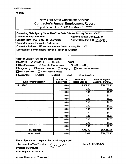l,

#### **FORMB**

## New York State Consultant Services **Contractor's Annual Employment Report**

Report Period: April 1,2019 to March 31, 2020

| Contracting State Agency Name: New York State Office of Attorney General (OAG) |                                      |                                         |                                                    |
|--------------------------------------------------------------------------------|--------------------------------------|-----------------------------------------|----------------------------------------------------|
| <b>Contract Number: PH65776</b>                                                |                                      | Agency Business Unit: Lawal             |                                                    |
| Contract Term: 11/01/2012 to 06/30/2019                                        |                                      | Agency Department ID: 3600000           |                                                    |
| <b>Contractor Name: Knowledge Builders Inc.</b>                                |                                      |                                         |                                                    |
| Contractor Address: 1977 Western Avenue, Ste #1, Albany, NY 12202              |                                      |                                         |                                                    |
| Description of Services Being Provided: Technical Architect                    |                                      |                                         |                                                    |
|                                                                                |                                      |                                         |                                                    |
|                                                                                |                                      |                                         |                                                    |
| Scope of Contract (Choose one that best fits):                                 |                                      |                                         |                                                    |
| $\boxtimes$ Evaluation<br>$\boxtimes$ Analysis                                 | Research                             | Training                                |                                                    |
| $\boxtimes$ Data Processing<br>$\boxtimes$ Computer Programming                |                                      | $\Box$ Other IT consulting              |                                                    |
| Engineering<br>Architect Services                                              | $\Box$ Surveying                     | <b>Environmental Services</b>           |                                                    |
| <b>Health Services</b><br>$\Box$ Mental Health Services                        |                                      |                                         |                                                    |
| Accounting<br>Auditing                                                         | $\Box$ Paralegal<br>$\square$ Legal  | <b>Other Consulting</b>                 |                                                    |
| <b>Employment Category</b>                                                     | <b>Number of</b><br><b>Employees</b> | <b>Number of</b><br><b>Hours Worked</b> | <b>Amount Payable</b><br><b>Under the Contract</b> |
| 15-1199.02                                                                     | 4.00                                 | 7,369.50                                | \$678,657.26                                       |
|                                                                                | 0.00                                 | 0.00                                    | \$0.00                                             |
|                                                                                | 0.00                                 | 0.00                                    | \$0.00                                             |
|                                                                                | 0.00                                 | 0.00                                    | \$0.00                                             |
|                                                                                | 0.00                                 | 0.00                                    | \$0.00                                             |
|                                                                                | 0.00                                 | 0.00                                    | \$0.00                                             |
|                                                                                | 0.00                                 | 0.00                                    | \$0.00                                             |
|                                                                                | 0.00                                 | 0.00                                    | \$0.00                                             |
|                                                                                | 0.00                                 | 0.00                                    | \$0.00                                             |
|                                                                                | 0.00                                 | 0.00                                    | \$0.00                                             |
|                                                                                | 0.00                                 | 0.00                                    | \$0.00                                             |
|                                                                                | 0.00                                 | 0.00                                    | \$0.00                                             |
|                                                                                | 0.00                                 | 0.00                                    | \$0.00                                             |
| <b>Total this Page</b>                                                         | 4.00                                 | 7,369.50                                | \$678,657.26                                       |
| <b>Grand Total</b>                                                             | 4.00                                 | 7,369                                   | \$678,657.26                                       |

Name of person who prepared this report: Sanjay Kapalli

Title: Executive Vice President / *<sup>i</sup> '*

Preparer's Signature:

Date Prepared: 04/30/2020

Phone #: 518-810-7478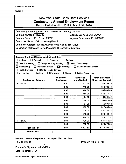## New York State Consultant Services **Contractor's Annual Employment Report**

Report Period: April 1,2019 to March 31, 2020

| Contracting State Agency Name: Office of the Attorney General<br><b>Contract Number: PH65780</b><br>Contract Term: 10/1/18 to 6/30/19<br>Contractor Name: MVP Consulting Plus, Inc.<br>Contractor Address: 435 New Karner Road Albany, NY 12205<br>Description of Services Being Provided: IT Consulting (Various) |                                                                  | <b>Agency Business Unit: LAW01</b><br>Agency Department ID: 3600000                           |                                                    |
|--------------------------------------------------------------------------------------------------------------------------------------------------------------------------------------------------------------------------------------------------------------------------------------------------------------------|------------------------------------------------------------------|-----------------------------------------------------------------------------------------------|----------------------------------------------------|
|                                                                                                                                                                                                                                                                                                                    |                                                                  |                                                                                               |                                                    |
| Scope of Contract (Choose one that best fits):<br>$\Box$ Analysis<br>$\Box$ Evaluation<br>Data Processing<br>Computer Programming<br>Engineering<br><b>Architect Services</b><br><b>Health Services</b><br>$\Box$ Mental Health Services<br>Accounting<br>Auditing                                                 | Research<br>$\Box$ Surveying<br>$\Box$ Legal<br>$\Box$ Paralegal | Training<br>⊠ Other IT consulting<br><b>Environmental Services</b><br><b>Other Consulting</b> |                                                    |
| <b>Employment Category</b>                                                                                                                                                                                                                                                                                         | <b>Number of</b><br><b>Employees</b>                             | Number of<br><b>Hours Worked</b>                                                              | <b>Amount Payable</b><br><b>Under the Contract</b> |
| 15-1199.02                                                                                                                                                                                                                                                                                                         | 1.00                                                             | 512.00                                                                                        | \$48,732.16                                        |
|                                                                                                                                                                                                                                                                                                                    | 1.00                                                             | 112.00                                                                                        | \$10,660.16                                        |
|                                                                                                                                                                                                                                                                                                                    | 1.00                                                             | 480.00                                                                                        | \$45,686.40                                        |
|                                                                                                                                                                                                                                                                                                                    | 1.00                                                             | 488.00                                                                                        | \$46,447.84                                        |
|                                                                                                                                                                                                                                                                                                                    | 1.00                                                             | 64.00                                                                                         | \$6,091.52                                         |
|                                                                                                                                                                                                                                                                                                                    | 1.00                                                             | 400.00                                                                                        | \$38,072.00                                        |
|                                                                                                                                                                                                                                                                                                                    | 1.00                                                             | 64.00                                                                                         | \$6,091.52                                         |
|                                                                                                                                                                                                                                                                                                                    | 1.00                                                             | 135.50                                                                                        | \$12,896.89                                        |
|                                                                                                                                                                                                                                                                                                                    | 1.00                                                             | 224.00                                                                                        | \$21,320.32                                        |
|                                                                                                                                                                                                                                                                                                                    | 1.00                                                             | 512.00                                                                                        | \$48,732.16                                        |
|                                                                                                                                                                                                                                                                                                                    | 1.00                                                             | 264.00                                                                                        | \$25,127.52                                        |
| 15-1131.00                                                                                                                                                                                                                                                                                                         | 1.00                                                             | 496.00                                                                                        | \$37,165.28                                        |
|                                                                                                                                                                                                                                                                                                                    | 1.00                                                             | 352.00                                                                                        | \$26,375.36                                        |
| <b>Total this Page</b>                                                                                                                                                                                                                                                                                             | 13.00                                                            | 4,103.50                                                                                      | \$373,399.13                                       |
| <b>Grand Total</b>                                                                                                                                                                                                                                                                                                 |                                                                  |                                                                                               |                                                    |

Name of person who prepared this report: Ilakumari Patel Title: CEO/CFO

Phone #: 518-218-1700

Preparer's Signature:  $IN$ *atel* Date Prepared: 5/1/20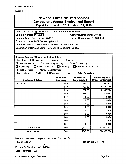## New York State Consultant Services **Contractor's Annual Employment Report**

Report Period: April 1, 2019 to March 31, 2020

| Contracting State Agency Name: Office of the Attorney General                   |                                      |                                    |                                                    |
|---------------------------------------------------------------------------------|--------------------------------------|------------------------------------|----------------------------------------------------|
| <b>Contract Number: PH65780</b>                                                 |                                      | <b>Agency Business Unit: LAW01</b> |                                                    |
| Contract Term: 10/1/18 to 6/30/19                                               |                                      | Agency Department ID: 3600000      |                                                    |
| Contractor Name: MVP Consulting Plus, Inc.                                      |                                      |                                    |                                                    |
| Contractor Address: 435 New Karner Road Albany, NY 12205                        |                                      |                                    |                                                    |
| Description of Services Being Provided: IT Consulting (Various)                 |                                      |                                    |                                                    |
|                                                                                 |                                      |                                    |                                                    |
|                                                                                 |                                      |                                    |                                                    |
| Scope of Contract (Choose one that best fits):<br>$\Box$ Evaluation<br>Analysis | Research                             | Training                           |                                                    |
| Data Processing<br><b>Computer Programming</b>                                  |                                      | $\boxtimes$ Other IT consulting    |                                                    |
| <b>Architect Services</b><br>Engineering                                        | $\Box$ Surveying                     | Environmental Services             |                                                    |
| <b>Health Services</b><br>$\Box$ Mental Health Services                         |                                      |                                    |                                                    |
| Accounting<br>Auditing                                                          | $\Box$ Legal<br>$\Box$ Paralegal     | <b>Other Consulting</b>            |                                                    |
|                                                                                 |                                      |                                    |                                                    |
| <b>Employment Category</b>                                                      | <b>Number of</b><br><b>Employees</b> | Number of<br><b>Hours Worked</b>   | <b>Amount Payable</b><br><b>Under the Contract</b> |
| 15-1131.00                                                                      | 1.00                                 | 475.50                             | \$35,629.22                                        |
|                                                                                 | 1.00                                 | 493.50                             | \$36,977.96                                        |
|                                                                                 | 1.00                                 | 392.00                             | \$29,372.56                                        |
|                                                                                 | 1.00                                 | 379.00                             | \$28,398.47                                        |
|                                                                                 | 0.00                                 | 0.00                               | \$0.00                                             |
|                                                                                 | 0.00                                 | 0.00                               | \$0.00                                             |
|                                                                                 | 0.00                                 | 0.00                               | \$0.00                                             |
|                                                                                 | 0.00                                 | 0.00                               | \$0.00                                             |
|                                                                                 | 0.00                                 | 0.00                               | \$0.00                                             |
|                                                                                 | 0.00                                 | 0.00                               | \$0.00                                             |
|                                                                                 | 0.00                                 | 0.00                               | \$0.00                                             |
|                                                                                 | 0.00                                 | 0.00                               | \$0.00                                             |
|                                                                                 | 0.00                                 | 0.00                               | \$0.00                                             |
| <b>Total this Page</b>                                                          | 4.00                                 | 1,740.00                           | \$130,378.21                                       |
| <b>Grand Total</b>                                                              | 17.00                                | 5843.50                            | \$503,777.34                                       |

Name of person who prepared this report: Ilakumari Patel

Title: CEO/CFO

Phone #; 518-218-1700

Preparer's Signature:  $\sum_{k} \sqrt{2\pi}$ Date Prepared: 5/1/20

(Use additional pages, if necessary) example 2 of 2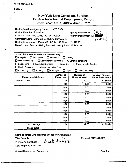AC 3272-S (Effective 4/12)

#### **FORM B**

|                                                                                                                                                                                                                                                                                                        |                                                                            | <b>New York State Consultant Services</b><br><b>Contractor's Annual Employment Report</b><br>Report Period: April 1, 2019 to March 31, 2020 |                                                    |
|--------------------------------------------------------------------------------------------------------------------------------------------------------------------------------------------------------------------------------------------------------------------------------------------------------|----------------------------------------------------------------------------|---------------------------------------------------------------------------------------------------------------------------------------------|----------------------------------------------------|
| <b>Contracting State Agency Name:</b><br>Contract Number: PH68610<br>Contract Term: 07/01/2019 to 06/30/2024<br>Contractor Name: Genesys Consulting Services, Inc.<br>Contractor Address: 1 Marcus Blvd Suite 102 Albany, NY 12205<br>Description of Services Being Provided: Hourly Based IT Services | <b>NYS OAG</b>                                                             | Agency Business Unit: LAW0<br><b>Agency Department ID:</b>                                                                                  | 3600000                                            |
| Scope of Contract (Choose one that best fits):<br>$\Box$ Analysis<br>$\Box$ Evaluation<br>Data Processing<br>Computer Programming<br>Engineering<br><b>Architect Services</b><br><b>Health Services</b><br>Mental Health Services<br>$\Box$ Accounting<br>Auditing                                     | $\Box$ Research<br>$\Box$ Surveying<br>$\Box$ Paralegal<br>$\square$ Legal | Training<br>$\boxtimes$ Other IT consulting<br><b>Environmental Services</b><br>$\Box$ Other Consulting                                     |                                                    |
| <b>Employment Category</b>                                                                                                                                                                                                                                                                             | Number of<br><b>Employees</b>                                              | <b>Number of</b><br><b>Hours Worked</b>                                                                                                     | <b>Amount Payable</b><br><b>Under the Contract</b> |
| <b>Technical Writer</b>                                                                                                                                                                                                                                                                                | 1.00                                                                       | 42.00                                                                                                                                       | \$1,890.00<br>$\sim 10^{-1}$                       |
|                                                                                                                                                                                                                                                                                                        | 0.00                                                                       | 0.00                                                                                                                                        | \$0.00                                             |
|                                                                                                                                                                                                                                                                                                        | 0.00                                                                       | 0.00                                                                                                                                        | \$0.00                                             |
|                                                                                                                                                                                                                                                                                                        | 0.00                                                                       | 0.00                                                                                                                                        | \$0.00                                             |
|                                                                                                                                                                                                                                                                                                        | 0.00                                                                       | 0.00                                                                                                                                        | \$0.00                                             |
|                                                                                                                                                                                                                                                                                                        | 0.00                                                                       | 0.00                                                                                                                                        | \$0.00                                             |
|                                                                                                                                                                                                                                                                                                        | 0.00                                                                       | 0.00                                                                                                                                        | \$0.00                                             |
|                                                                                                                                                                                                                                                                                                        | 0.00                                                                       | 0.00                                                                                                                                        | \$0.00                                             |
|                                                                                                                                                                                                                                                                                                        | 0.00                                                                       | 0.00                                                                                                                                        | 30.00                                              |
|                                                                                                                                                                                                                                                                                                        | 0.00<br>0.00                                                               | 0.00<br>0.00                                                                                                                                | \$0.00<br>\$0.00                                   |
|                                                                                                                                                                                                                                                                                                        | 0.00                                                                       | 0.00                                                                                                                                        | \$0.00                                             |
|                                                                                                                                                                                                                                                                                                        | 0.00                                                                       | 0.00                                                                                                                                        | \$0.00                                             |
| <b>Total this Page</b>                                                                                                                                                                                                                                                                                 | 1.00                                                                       | 42.00                                                                                                                                       | \$1,890.00                                         |
| <b>Grand Total</b>                                                                                                                                                                                                                                                                                     |                                                                            |                                                                                                                                             |                                                    |

Name of person who prepared this report: Crista Maiello

Title: Controller

Phone #: (518) 459-9500

Preparer's Signature:

Date Prepared: 05/08/2020

(Use additional pages, if necessary) example the control of the Page 1 of 1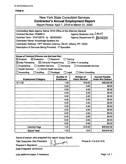|                                                                                                                                                                                                                                                                                                                                 |                                                              | <b>New York State Consultant Services</b><br><b>Contractor's Annual Employment Report</b><br>Report Period: April 1, 2019 to March 31, 2020 |                                                    |
|---------------------------------------------------------------------------------------------------------------------------------------------------------------------------------------------------------------------------------------------------------------------------------------------------------------------------------|--------------------------------------------------------------|---------------------------------------------------------------------------------------------------------------------------------------------|----------------------------------------------------|
| Contracting State Agency Name: NYS Office of the Attorney General<br><b>Contract Number: PH68613</b><br>Contract Term: 07/01/2019 to 06/30/2024<br><b>Contractor Name: Knowledge Builders Inc</b><br>Contractor Address: 1977 Western Avenue, Ste #1, Albany, NY 12202<br>Description of Services Being Provided: IT Specialist |                                                              | Agency Business Unit: LAWO /<br>Agency Department ID: 3000000                                                                               |                                                    |
| Scope of Contract (Choose one that best fits):<br>$\boxtimes$ Evaluation<br>$\boxtimes$ Analysis<br>$\boxtimes$ Data Processing<br>$\boxtimes$ Computer Programming<br>Engineering<br><b>Architect Services</b><br><b>Health Services</b><br><b>Mental Health Services</b><br>Accounting<br>Auditing                            | Research<br>$\Box$ Surveying<br>Paralegal<br>$\square$ Legal | Training<br>$\Box$ Other IT consulting<br><b>Environmental Services</b><br><b>Other Consulting</b>                                          |                                                    |
|                                                                                                                                                                                                                                                                                                                                 |                                                              |                                                                                                                                             |                                                    |
| <b>Employment Category</b>                                                                                                                                                                                                                                                                                                      | <b>Number of</b><br><b>Employees</b>                         | <b>Number of</b><br><b>Hours Worked</b>                                                                                                     | <b>Amount Payable</b><br><b>Under the Contract</b> |
| 15-1132                                                                                                                                                                                                                                                                                                                         | 1.00                                                         | 616.00                                                                                                                                      | \$49,932.96                                        |
|                                                                                                                                                                                                                                                                                                                                 | 0.00                                                         | 0.00                                                                                                                                        | \$0.00                                             |
|                                                                                                                                                                                                                                                                                                                                 | 0.00                                                         | 0.00                                                                                                                                        | \$0.00                                             |
|                                                                                                                                                                                                                                                                                                                                 | 0.00                                                         | 0.00                                                                                                                                        | \$0.00                                             |
|                                                                                                                                                                                                                                                                                                                                 | 0.00                                                         | 0.00                                                                                                                                        | \$0.00                                             |
|                                                                                                                                                                                                                                                                                                                                 | 0.00                                                         | 0.00                                                                                                                                        | \$0.00                                             |
|                                                                                                                                                                                                                                                                                                                                 | 0.00                                                         | 0.00                                                                                                                                        | \$0.00                                             |
|                                                                                                                                                                                                                                                                                                                                 | 0.00                                                         | 0.00                                                                                                                                        | \$0.00                                             |
|                                                                                                                                                                                                                                                                                                                                 | 0.00                                                         | 0.00                                                                                                                                        | \$0.00                                             |
|                                                                                                                                                                                                                                                                                                                                 | 0.00<br>0.00                                                 | 0.00<br>0.00                                                                                                                                | \$0.00<br>\$0.00                                   |
|                                                                                                                                                                                                                                                                                                                                 | 0.00                                                         | 0.00                                                                                                                                        | \$0.00                                             |
|                                                                                                                                                                                                                                                                                                                                 | 0.00                                                         | 0.00                                                                                                                                        | \$0.00                                             |
| <b>Total this Page</b>                                                                                                                                                                                                                                                                                                          | 1.00                                                         | 616.00                                                                                                                                      | \$49,932.96                                        |

Janvary

Name of person who prepared this report: Sanjay Kapalli

Title: Executive Vice President

Preparer's Signature: \_\_\_\_

Date Prepared: 04/30/2020

Phone #: 518-810-7478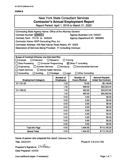## New York State Consultant Services **Contractor's Annual Employment Report**

**Report Period: April 1, 2019 to March 31, 2020**

| Contracting State Agency Name: Office of the Attorney General                                 |                                    |                                         |                                                    |  |  |  |  |
|-----------------------------------------------------------------------------------------------|------------------------------------|-----------------------------------------|----------------------------------------------------|--|--|--|--|
| Contract Number: PH68617                                                                      | <b>Agency Business Unit: OAG01</b> |                                         |                                                    |  |  |  |  |
| Contract Term: 7/1/19 to 6/30/24                                                              | Agency Department ID: 3600000      |                                         |                                                    |  |  |  |  |
| Contractor Name: MVP Consulting Plus, Inc.                                                    |                                    |                                         |                                                    |  |  |  |  |
| Contractor Address: 435 New Karner Road Albany, NY 12205                                      |                                    |                                         |                                                    |  |  |  |  |
| Description of Services Being Provided: IT Consulting (Various)                               |                                    |                                         |                                                    |  |  |  |  |
|                                                                                               |                                    |                                         |                                                    |  |  |  |  |
|                                                                                               |                                    |                                         |                                                    |  |  |  |  |
| Scope of Contract (Choose one that best fits):                                                |                                    |                                         |                                                    |  |  |  |  |
| Analysis<br>$\Box$ Evaluation<br>Research<br>Training                                         |                                    |                                         |                                                    |  |  |  |  |
| ⊠ Other IT consulting<br>Data Processing<br>□ Computer Programming                            |                                    |                                         |                                                    |  |  |  |  |
| <b>Architect Services</b><br>$\Box$ Surveying<br><b>Environmental Services</b><br>Engineering |                                    |                                         |                                                    |  |  |  |  |
| <b>Health Services</b><br>$\Box$ Mental Health Services                                       |                                    |                                         |                                                    |  |  |  |  |
| $\Box$ Legal<br>□ Other Consulting<br>$\Box$ Accounting<br>Auditing<br>$\Box$ Paralegal       |                                    |                                         |                                                    |  |  |  |  |
| <b>Number of</b><br><b>Employment Category</b><br><b>Employees</b>                            |                                    | <b>Number of</b><br><b>Hours Worked</b> | <b>Amount Payable</b><br><b>Under the Contract</b> |  |  |  |  |
| 15-1131.00                                                                                    | 1.00                               | 72.00                                   | \$5,146.56                                         |  |  |  |  |
|                                                                                               | 1.00                               | 448.00                                  | \$32,023.04                                        |  |  |  |  |
| 15-1199.02                                                                                    | 1.00                               | 392.00                                  | \$33,672.80                                        |  |  |  |  |
|                                                                                               | 1.00                               | 492.00                                  | \$42,262.80                                        |  |  |  |  |
|                                                                                               | 0.00                               | 0.00                                    | \$0.00                                             |  |  |  |  |
|                                                                                               | 0.00                               | 0.00                                    | \$0.00                                             |  |  |  |  |
|                                                                                               | 0.00                               | 0.00                                    | \$0.00                                             |  |  |  |  |
|                                                                                               | 0.00                               | 0.00                                    | \$0.00                                             |  |  |  |  |
|                                                                                               | 0.00                               | 0.00                                    | \$0.00                                             |  |  |  |  |
|                                                                                               | 0.00                               | 0.00                                    | \$0.00                                             |  |  |  |  |
|                                                                                               | 0.00                               | 0.00                                    | \$0.00                                             |  |  |  |  |
|                                                                                               | 0.00                               | 0.00                                    | \$0.00                                             |  |  |  |  |
|                                                                                               | 0.00                               | 0.00                                    | \$0.00                                             |  |  |  |  |
| <b>Total this Page</b>                                                                        | 4.00                               | 1,404.00                                | \$113,105.20                                       |  |  |  |  |
| <b>Grand Total</b>                                                                            | 4.00                               | 1,404.00                                | \$113,105.20                                       |  |  |  |  |

Name of person who prepared this report: Ilakumari Patel

Title: CEO/CFO

Phone #: 518-218-1700

Preparer's Signature:  $\sum N$ *ater* Date Prepared: 4/29/20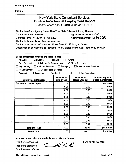| <b>New York State Consultant Services</b><br><b>Contractor's Annual Employment Report</b><br>Report Period: April 1, 2019 to March 31, 2020                                                                                                                                                                                                                                                                                                              |                                      |                                         |                                                    |  |  |  |
|----------------------------------------------------------------------------------------------------------------------------------------------------------------------------------------------------------------------------------------------------------------------------------------------------------------------------------------------------------------------------------------------------------------------------------------------------------|--------------------------------------|-----------------------------------------|----------------------------------------------------|--|--|--|
| Contracting State Agency Name: New York State Office of Attorney General<br><b>Contract Number: PH68631</b><br><b>Agency Business Unit: OAG</b><br>Agency Department ID: 3600000<br>Contract Term: 7/1/2019 to 6/30/2024<br>Contractor Name: Trigyn Technologies, Inc.<br>Contractor Address: 100 Metroplex Drive, Suite 101, Edison, NJ 08817<br>Description of Services Being Provided: Hourly Based Information Technology Services                   |                                      |                                         |                                                    |  |  |  |
| Scope of Contract (Choose one that best fits):<br><b>Analysis</b><br>$\Box$ Evaluation<br>Research<br>Training<br>$\boxtimes$ Other IT consulting<br>Data Processing<br>$\Box$ Computer Programming<br>$\Box$ Surveying<br>Engineering<br><b>Architect Services</b><br><b>Environmental Services</b><br><b>Health Services</b><br>$\Box$ Mental Health Services<br>Accounting<br>Auditing<br>$\Box$ Legal<br><b>Other Consulting</b><br>$\Box$ Paralegal |                                      |                                         |                                                    |  |  |  |
|                                                                                                                                                                                                                                                                                                                                                                                                                                                          |                                      |                                         |                                                    |  |  |  |
|                                                                                                                                                                                                                                                                                                                                                                                                                                                          | <b>Number of</b><br><b>Employees</b> | <b>Number of</b><br><b>Hours Worked</b> | <b>Amount Payable</b><br><b>Under the Contract</b> |  |  |  |
| <b>Employment Category</b><br>Software Architect - Expert                                                                                                                                                                                                                                                                                                                                                                                                | 1.00                                 | 688.00                                  | \$64,520.66                                        |  |  |  |
|                                                                                                                                                                                                                                                                                                                                                                                                                                                          | 0.00                                 | 0.00                                    | \$0.00                                             |  |  |  |
|                                                                                                                                                                                                                                                                                                                                                                                                                                                          | 0.00                                 | 0.00                                    | \$0.00                                             |  |  |  |
|                                                                                                                                                                                                                                                                                                                                                                                                                                                          | 0.00                                 | 0.00                                    | \$0.00                                             |  |  |  |
|                                                                                                                                                                                                                                                                                                                                                                                                                                                          | 0.00                                 | 0.00                                    | \$0.00                                             |  |  |  |
|                                                                                                                                                                                                                                                                                                                                                                                                                                                          | 0.00                                 | 0.00                                    | \$0.00                                             |  |  |  |
|                                                                                                                                                                                                                                                                                                                                                                                                                                                          | 0.00                                 | 0.00                                    | \$0.00                                             |  |  |  |
|                                                                                                                                                                                                                                                                                                                                                                                                                                                          | 0.00                                 | 0.00                                    | \$0.00                                             |  |  |  |
|                                                                                                                                                                                                                                                                                                                                                                                                                                                          | 0.00                                 | 0.00                                    | \$0.00                                             |  |  |  |
|                                                                                                                                                                                                                                                                                                                                                                                                                                                          | 0.00<br>0.00                         | 0.00<br>0.00                            | \$0.00<br>\$0.00                                   |  |  |  |
|                                                                                                                                                                                                                                                                                                                                                                                                                                                          | 0.00                                 | 0.00                                    | \$0.00                                             |  |  |  |
|                                                                                                                                                                                                                                                                                                                                                                                                                                                          | 0.00                                 | 0.00                                    | \$0.00                                             |  |  |  |
| <b>Total this Page</b>                                                                                                                                                                                                                                                                                                                                                                                                                                   | 1.00                                 | 688.00                                  | \$64,520.66                                        |  |  |  |

**Name of person who prepared this** report: Thomas Gordon

Title: Sr. Vice President **Preparer's Signature: \_**

al le la

**Date Prepared:** 5/6/2020

(Use additional pages, if necessary) example 2 and 2 and 2 and 2 and 2 and 2 and 2 and 2 and 2 and 2 and 2 and 2 and 2 and 2 and 2 and 2 and 2 and 2 and 2 and 2 and 2 and 2 and 2 and 2 and 2 and 2 and 2 and 2 and 2 and 2 a

Phone #: 732-777-4608